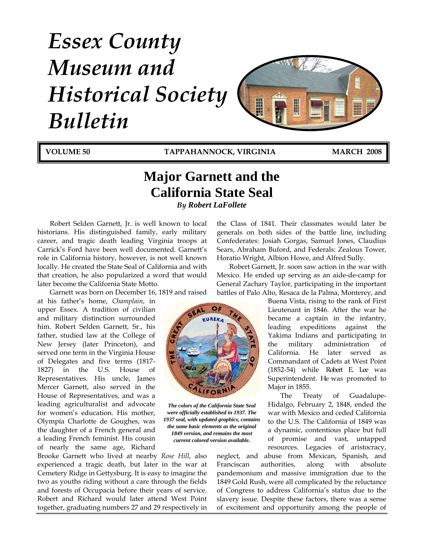# *Essex County Museum and Historical Society Bulletin*



**VOLUME 50 TAPPAHANNOCK, VIRGINIA MARCH 2008**

# **Major Garnett and the California State Seal** *By Robert LaFollete*

Robert Selden Garnett, Jr. is well known to local historians. His distinguished family, early military career, and tragic death leading Virginia troops at Carrick's Ford have been well documented. Garnett's role in California history, however, is not well known locally. He created the State Seal of California and with that creation, he also popularized a word that would later become the California State Motto.

Garnett was born on December 16, 1819 and raised

at his father's home, *Champlain*, in upper Essex. A tradition of civilian and military distinction surrounded him. Robert Selden Garnett, Sr., his father, studied law at the College of New Jersey (later Princeton), and served one term in the Virginia House of Delegates and five terms (1817- 1827) in the U.S. House of Representatives. His uncle, James Mercer Garnett, also served in the House of Representatives, and was a leading agriculturalist and advocate for women's education. His mother, Olympia Charlotte de Goughes, was the daughter of a French general and a leading French feminist. His cousin of nearly the same age, Richard

Brooke Garnett who lived at nearby *Rose Hill*, also experienced a tragic death, but later in the war at Cemetery Ridge in Gettysburg. It is easy to imagine the two as youths riding without a care through the fields and forests of Occupacia before their years of service. Robert and Richard would later attend West Point together, graduating numbers 27 and 29 respectively in the Class of 1841. Their classmates would later be generals on both sides of the battle line, including Confederates: Josiah Gorgas, Samuel Jones, Claudius Sears, Abraham Buford, and Federals: Zealous Tower, Horatio Wright, Albion Howe, and Alfred Sully.

Robert Garnett, Jr. soon saw action in the war with Mexico. He ended up serving as an aide-de-camp for General Zachary Taylor, participating in the important battles of Palo Alto, Resaca de la Palma, Monterey, and

Buena Vista, rising to the rank of First Lieutenant in 1846. After the war he became a captain in the infantry, leading expeditions against the Yakima Indians and participating in the military administration of California. He later served as Commandant of Cadets at West Point (1852-54) while Robert E. Lee was Superintendent. He was promoted to Major in 1855.

The Treaty of Guadalupe-Hidalgo, February 2, 1848, ended the war with Mexico and ceded California to the U.S. The California of 1849 was a dynamic, contentious place but full of promise and vast, untapped resources. Legacies of aristocracy,

neglect, and abuse from Mexican, Spanish, and Franciscan authorities, along with absolute pandemonium and massive immigration due to the 1849 Gold Rush, were all complicated by the reluctance of Congress to address California's status due to the slavery issue. Despite these factors, there was a sense of excitement and opportunity among the people of



*The colors of the California State Seal were officially established in 1937. The 1937 seal, with updated graphics, contains the same basic elements as the original 1849 version, and remains the most current colored version available.*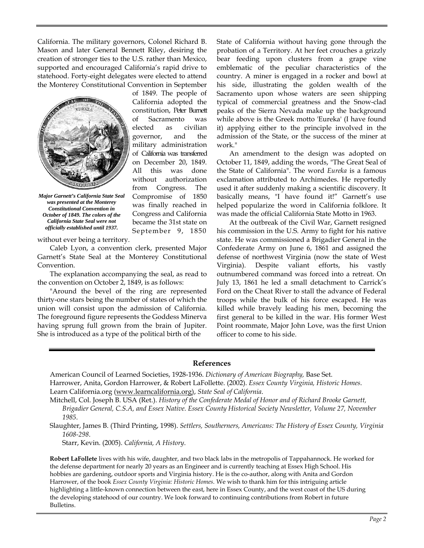California. The military governors, Colonel Richard B. Mason and later General Bennett Riley, desiring the creation of stronger ties to the U.S. rather than Mexico, supported and encouraged California's rapid drive to statehood. Forty-eight delegates were elected to attend the Monterey Constitutional Convention in September

> California adopted the constitution, Peter Burnett of Sacramento was elected as civilian governor, and the military administration of California was transferred on December 20, 1849. All this was done without authorization from Congress. The Compromise of 1850 was finally reached in Congress and California became the 31st state on September 9, 1850



*Major Garnett's California State Seal was presented at the Monterey Constitutional Convention in October of 1849. The colors of the California State Seal were not officially established until 1937.* 

without ever being a territory.

Caleb Lyon, a convention clerk, presented Major Garnett's State Seal at the Monterey Constitutional Convention.

The explanation accompanying the seal, as read to the convention on October 2, 1849, is as follows:

"Around the bevel of the ring are represented thirty-one stars being the number of states of which the union will consist upon the admission of California. The foreground figure represents the Goddess Minerva having sprung full grown from the brain of Jupiter. She is introduced as a type of the political birth of the

State of California without having gone through the probation of a Territory. At her feet crouches a grizzly bear feeding upon clusters from a grape vine emblematic of the peculiar characteristics of the country. A miner is engaged in a rocker and bowl at his side, illustrating the golden wealth of the Sacramento upon whose waters are seen shipping typical of commercial greatness and the Snow-clad peaks of the Sierra Nevada make up the background while above is the Greek motto 'Eureka' (I have found it) applying either to the principle involved in the admission of the State, or the success of the miner at work."

An amendment to the design was adopted on October 11, 1849, adding the words, "The Great Seal of the State of California". The word *Eureka* is a famous exclamation attributed to Archimedes. He reportedly used it after suddenly making a scientific discovery. It basically means, "I have found it!" Garnett's use helped popularize the word in California folklore. It was made the official California State Motto in 1963.

At the outbreak of the Civil War, Garnett resigned his commission in the U.S. Army to fight for his native state. He was commissioned a Brigadier General in the Confederate Army on June 6, 1861 and assigned the defense of northwest Virginia (now the state of West Virginia). Despite valiant efforts, his vastly outnumbered command was forced into a retreat. On July 13, 1861 he led a small detachment to Carrick's Ford on the Cheat River to stall the advance of Federal troops while the bulk of his force escaped. He was killed while bravely leading his men, becoming the first general to be killed in the war. His former West Point roommate, Major John Love, was the first Union officer to come to his side.

### **References**

American Council of Learned Societies, 1928-1936. *Dictionary of American Biography,* Base Set. Harrower, Anita, Gordon Harrower, & Robert LaFollette. (2002). *Essex County Virginia, Historic Homes*. Learn California.org ([www.learncalifornia.org](http://www.learncalifornia.org/)), *State Seal of California*.

Mitchell, Col. Joseph B. USA (Ret.). *History of the Confederate Medal of Honor and of Richard Brooke Garnett, Brigadier General, C.S.A, and Essex Native. Essex County Historical Society Newsletter, Volume 27, November 1985*.

Slaughter, James B. (Third Printing, 1998). *Settlers, Southerners, Americans: The History of Essex County, Virginia 1608-298*.

Starr, Kevin. (2005). *California, A History*.

**Robert LaFollete** lives with his wife, daughter, and two black labs in the metropolis of Tappahannock. He worked for the defense department for nearly 20 years as an Engineer and is currently teaching at Essex High School. His hobbies are gardening, outdoor sports and Virginia history. He is the co-author, along with Anita and Gordon Harrower, of the book *Essex County Virginia: Historic Homes*. We wish to thank him for this intriguing article highlighting a little-known connection between the east, here in Essex County, and the west coast of the US during the developing statehood of our country. We look forward to continuing contributions from Robert in future Bulletins.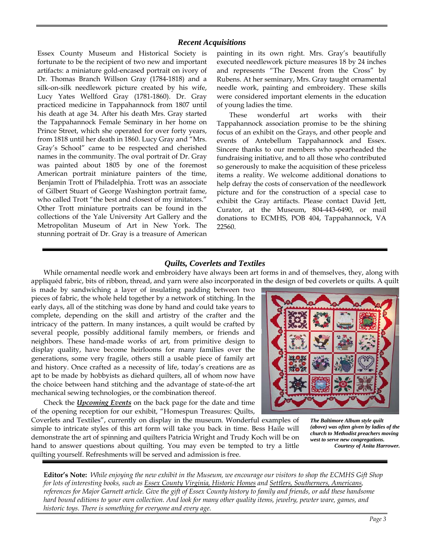# *Recent Acquisitions*

Essex County Museum and Historical Society is fortunate to be the recipient of two new and important artifacts: a miniature gold-encased portrait on ivory of Dr. Thomas Branch Willson Gray (1784-1818) and a silk-on-silk needlework picture created by his wife, Lucy Yates Wellford Gray (1781-1860). Dr. Gray practiced medicine in Tappahannock from 1807 until his death at age 34. After his death Mrs. Gray started the Tappahannock Female Seminary in her home on Prince Street, which she operated for over forty years, from 1818 until her death in 1860. Lucy Gray and "Mrs. Gray's School" came to be respected and cherished names in the community. The oval portrait of Dr. Gray was painted about 1805 by one of the foremost American portrait miniature painters of the time, Benjamin Trott of Philadelphia. Trott was an associate of Gilbert Stuart of George Washington portrait fame, who called Trott "the best and closest of my imitators." Other Trott miniature portraits can be found in the collections of the Yale University Art Gallery and the Metropolitan Museum of Art in New York. The stunning portrait of Dr. Gray is a treasure of American painting in its own right. Mrs. Gray's beautifully executed needlework picture measures 18 by 24 inches and represents "The Descent from the Cross" by Rubens. At her seminary, Mrs. Gray taught ornamental needle work, painting and embroidery. These skills were considered important elements in the education of young ladies the time.

These wonderful art works with their Tappahannock association promise to be the shining focus of an exhibit on the Grays, and other people and events of Antebellum Tappahannock and Essex. Sincere thanks to our members who spearheaded the fundraising initiative, and to all those who contributed so generously to make the acquisition of these priceless items a reality. We welcome additional donations to help defray the costs of conservation of the needlework picture and for the construction of a special case to exhibit the Gray artifacts. Please contact David Jett, Curator, at the Museum, 804-443-6490, or mail donations to ECMHS, POB 404, Tappahannock, VA 22560.

# *Quilts, Coverlets and Textiles*

While ornamental needle work and embroidery have always been art forms in and of themselves, they, along with appliquéd fabric, bits of ribbon, thread, and yarn were also incorporated in the design of bed coverlets or quilts. A quilt

is made by sandwiching a layer of insulating padding between two pieces of fabric, the whole held together by a network of stitching. In the early days, all of the stitching was done by hand and could take years to complete, depending on the skill and artistry of the crafter and the intricacy of the pattern. In many instances, a quilt would be crafted by several people, possibly additional family members, or friends and neighbors. These hand-made works of art, from primitive design to display quality, have become heirlooms for many families over the generations, some very fragile, others still a usable piece of family art and history. Once crafted as a necessity of life, today's creations are as apt to be made by hobbyists as diehard quilters, all of whom now have the choice between hand stitching and the advantage of state-of-the art mechanical sewing technologies, or the combination thereof.

Check the *Upcoming Events* on the back page for the date and time of the opening reception for our exhibit, "Homespun Treasures: Quilts,

Coverlets and Textiles", currently on display in the museum. Wonderful examples of simple to intricate styles of this art form will take you back in time. Bess Haile will demonstrate the art of spinning and quilters Patricia Wright and Trudy Koch will be on hand to answer questions about quilting. You may even be tempted to try a little quilting yourself. Refreshments will be served and admission is free.

*The Baltimore Album style quilt (above) was often given by ladies of the church to Methodist preachers moving west to serve new congregations. Courtesy of Anita Harrower.* 

**Editor's Note:** *While enjoying the new exhibit in the Museum, we encourage our visitors to shop the ECMHS Gift Shop for lots of interesting books, such as Essex County Virginia, Historic Homes and Settlers, Southerners, Americans, references for Major Garnett article. Give the gift of Essex County history to family and friends, or add these handsome hard bound editions to your own collection. And look for many other quality items, jewelry, pewter ware, games, and historic toys. There is something for everyone and every age.*